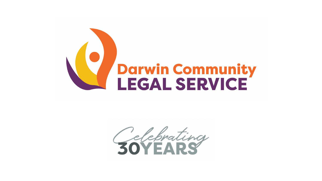

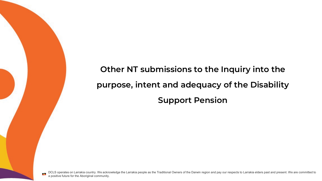**Other NT submissions to the Inquiry into the purpose, intent and adequacy of the Disability Support Pension**

DCLS operates on Larrakia country. We acknowledge the Larrakia people as the Traditional Owners of the Darwin region and pay our respects to Larrakia elders past and present. We are committed to a positive future for the Aboriginal community.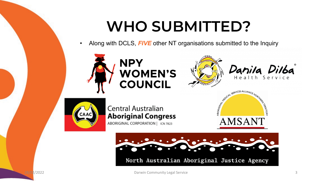## **WHO SUBMITTED?**

• Along with DCLS, *FIVE* other NT organisations submitted to the Inquiry







Danila Dilba



## Central Australian **Aboriginal Congress** ABORIGINAL CORPORATION | ICN 7823





North Australian Aboriginal Justice Agency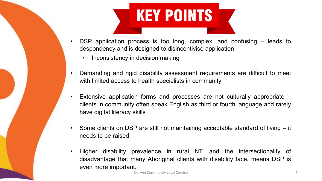## **KEY POINTS**

- DSP application process is too long, complex, and confusing leads to despondency and is designed to disincentivise application
	- Inconsistency in decision making
- Demanding and rigid disability assessment requirements are difficult to meet with limited access to health specialists in community
- Extensive application forms and processes are not culturally appropriate clients in community often speak English as third or fourth language and rarely have digital literacy skills
- Some clients on DSP are still not maintaining acceptable standard of living it needs to be raised
- Higher disability prevalence in rural NT, and the intersectionality of disadvantage that many Aboriginal clients with disability face, means DSP is even more important.